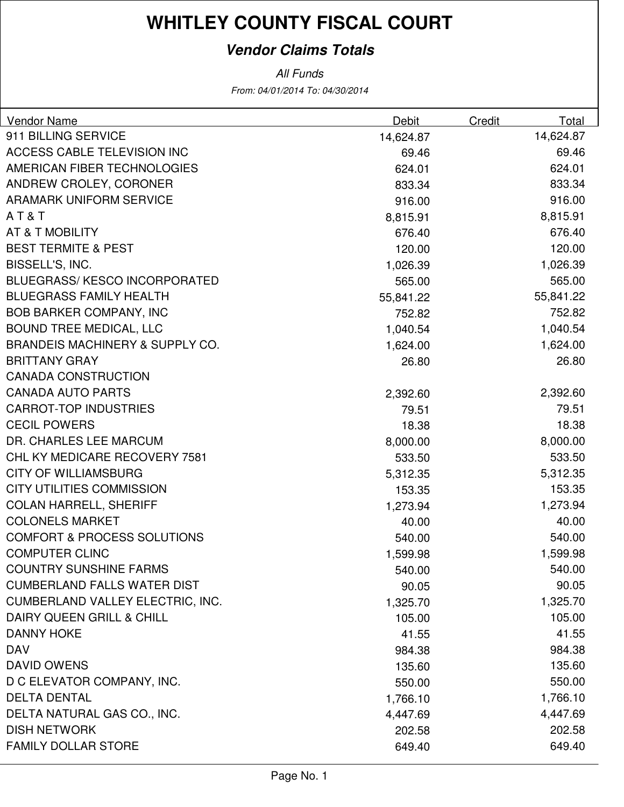### **Vendor Claims Totals**

| <b>Vendor Name</b>                         | Debit     | Credit | Total     |
|--------------------------------------------|-----------|--------|-----------|
| 911 BILLING SERVICE                        | 14,624.87 |        | 14,624.87 |
| <b>ACCESS CABLE TELEVISION INC</b>         | 69.46     |        | 69.46     |
| AMERICAN FIBER TECHNOLOGIES                | 624.01    |        | 624.01    |
| ANDREW CROLEY, CORONER                     | 833.34    |        | 833.34    |
| <b>ARAMARK UNIFORM SERVICE</b>             | 916.00    |        | 916.00    |
| AT&T                                       | 8,815.91  |        | 8,815.91  |
| AT & T MOBILITY                            | 676.40    |        | 676.40    |
| <b>BEST TERMITE &amp; PEST</b>             | 120.00    |        | 120.00    |
| BISSELL'S, INC.                            | 1,026.39  |        | 1,026.39  |
| <b>BLUEGRASS/ KESCO INCORPORATED</b>       | 565.00    |        | 565.00    |
| <b>BLUEGRASS FAMILY HEALTH</b>             | 55,841.22 |        | 55,841.22 |
| <b>BOB BARKER COMPANY, INC</b>             | 752.82    |        | 752.82    |
| <b>BOUND TREE MEDICAL, LLC</b>             | 1,040.54  |        | 1,040.54  |
| <b>BRANDEIS MACHINERY &amp; SUPPLY CO.</b> | 1,624.00  |        | 1,624.00  |
| <b>BRITTANY GRAY</b>                       | 26.80     |        | 26.80     |
| <b>CANADA CONSTRUCTION</b>                 |           |        |           |
| <b>CANADA AUTO PARTS</b>                   | 2,392.60  |        | 2,392.60  |
| <b>CARROT-TOP INDUSTRIES</b>               | 79.51     |        | 79.51     |
| <b>CECIL POWERS</b>                        | 18.38     |        | 18.38     |
| DR. CHARLES LEE MARCUM                     | 8,000.00  |        | 8,000.00  |
| CHL KY MEDICARE RECOVERY 7581              | 533.50    |        | 533.50    |
| <b>CITY OF WILLIAMSBURG</b>                | 5,312.35  |        | 5,312.35  |
| <b>CITY UTILITIES COMMISSION</b>           | 153.35    |        | 153.35    |
| <b>COLAN HARRELL, SHERIFF</b>              | 1,273.94  |        | 1,273.94  |
| <b>COLONELS MARKET</b>                     | 40.00     |        | 40.00     |
| <b>COMFORT &amp; PROCESS SOLUTIONS</b>     | 540.00    |        | 540.00    |
| <b>COMPUTER CLINC</b>                      | 1,599.98  |        | 1,599.98  |
| <b>COUNTRY SUNSHINE FARMS</b>              | 540.00    |        | 540.00    |
| <b>CUMBERLAND FALLS WATER DIST</b>         | 90.05     |        | 90.05     |
| CUMBERLAND VALLEY ELECTRIC, INC.           | 1,325.70  |        | 1,325.70  |
| DAIRY QUEEN GRILL & CHILL                  | 105.00    |        | 105.00    |
| <b>DANNY HOKE</b>                          | 41.55     |        | 41.55     |
| <b>DAV</b>                                 | 984.38    |        | 984.38    |
| <b>DAVID OWENS</b>                         | 135.60    |        | 135.60    |
| D C ELEVATOR COMPANY, INC.                 | 550.00    |        | 550.00    |
| <b>DELTA DENTAL</b>                        | 1,766.10  |        | 1,766.10  |
| DELTA NATURAL GAS CO., INC.                | 4,447.69  |        | 4,447.69  |
| <b>DISH NETWORK</b>                        | 202.58    |        | 202.58    |
| <b>FAMILY DOLLAR STORE</b>                 | 649.40    |        | 649.40    |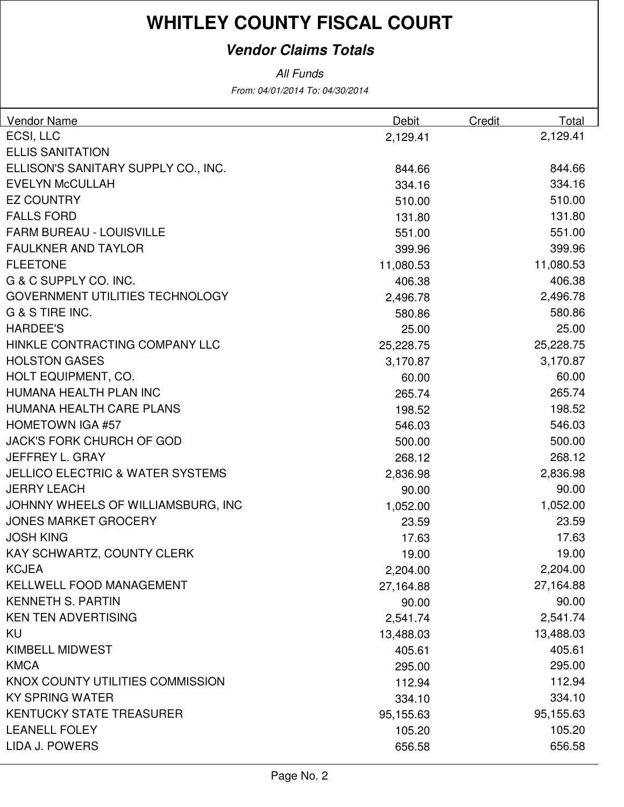### **Vendor Claims Totals**

| Vendor Name                                 | Debit     | Credit | Total     |
|---------------------------------------------|-----------|--------|-----------|
| ECSI, LLC                                   | 2,129.41  |        | 2,129.41  |
| <b>ELLIS SANITATION</b>                     |           |        |           |
| ELLISON'S SANITARY SUPPLY CO., INC.         | 844.66    |        | 844.66    |
| <b>EVELYN McCULLAH</b>                      | 334.16    |        | 334.16    |
| <b>EZ COUNTRY</b>                           | 510.00    |        | 510.00    |
| <b>FALLS FORD</b>                           | 131.80    |        | 131.80    |
| <b>FARM BUREAU - LOUISVILLE</b>             | 551.00    |        | 551.00    |
| <b>FAULKNER AND TAYLOR</b>                  | 399.96    |        | 399.96    |
| <b>FLEETONE</b>                             | 11,080.53 |        | 11,080.53 |
| G & C SUPPLY CO. INC.                       | 406.38    |        | 406.38    |
| GOVERNMENT UTILITIES TECHNOLOGY             | 2,496.78  |        | 2,496.78  |
| G & S TIRE INC.                             | 580.86    |        | 580.86    |
| <b>HARDEE'S</b>                             | 25.00     |        | 25.00     |
| HINKLE CONTRACTING COMPANY LLC              | 25,228.75 |        | 25,228.75 |
| <b>HOLSTON GASES</b>                        | 3,170.87  |        | 3,170.87  |
| HOLT EQUIPMENT, CO.                         | 60.00     |        | 60.00     |
| HUMANA HEALTH PLAN INC                      | 265.74    |        | 265.74    |
| HUMANA HEALTH CARE PLANS                    | 198.52    |        | 198.52    |
| <b>HOMETOWN IGA #57</b>                     | 546.03    |        | 546.03    |
| <b>JACK'S FORK CHURCH OF GOD</b>            | 500.00    |        | 500.00    |
| JEFFREY L. GRAY                             | 268.12    |        | 268.12    |
| <b>JELLICO ELECTRIC &amp; WATER SYSTEMS</b> | 2,836.98  |        | 2,836.98  |
| <b>JERRY LEACH</b>                          | 90.00     |        | 90.00     |
| JOHNNY WHEELS OF WILLIAMSBURG, INC          | 1,052.00  |        | 1,052.00  |
| <b>JONES MARKET GROCERY</b>                 | 23.59     |        | 23.59     |
| <b>JOSH KING</b>                            | 17.63     |        | 17.63     |
| KAY SCHWARTZ, COUNTY CLERK                  | 19.00     |        | 19.00     |
| <b>KCJEA</b>                                | 2,204.00  |        | 2,204.00  |
| KELLWELL FOOD MANAGEMENT                    | 27,164.88 |        | 27,164.88 |
| <b>KENNETH S. PARTIN</b>                    | 90.00     |        | 90.00     |
| <b>KEN TEN ADVERTISING</b>                  | 2,541.74  |        | 2,541.74  |
| KU                                          | 13,488.03 |        | 13,488.03 |
| <b>KIMBELL MIDWEST</b>                      | 405.61    |        | 405.61    |
| <b>KMCA</b>                                 | 295.00    |        | 295.00    |
| KNOX COUNTY UTILITIES COMMISSION            | 112.94    |        | 112.94    |
| <b>KY SPRING WATER</b>                      | 334.10    |        | 334.10    |
| <b>KENTUCKY STATE TREASURER</b>             | 95,155.63 |        | 95,155.63 |
| <b>LEANELL FOLEY</b>                        | 105.20    |        | 105.20    |
| LIDA J. POWERS                              | 656.58    |        | 656.58    |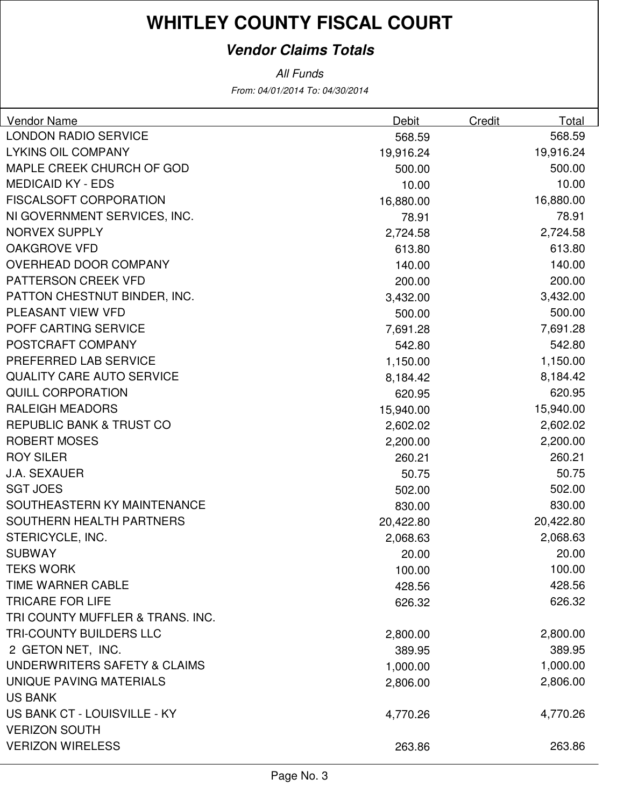### **Vendor Claims Totals**

| <b>Vendor Name</b>                  | <b>Debit</b> | <b>Credit</b> | <b>Total</b> |
|-------------------------------------|--------------|---------------|--------------|
| <b>LONDON RADIO SERVICE</b>         | 568.59       |               | 568.59       |
| <b>LYKINS OIL COMPANY</b>           | 19,916.24    |               | 19,916.24    |
| MAPLE CREEK CHURCH OF GOD           | 500.00       |               | 500.00       |
| <b>MEDICAID KY - EDS</b>            | 10.00        |               | 10.00        |
| <b>FISCALSOFT CORPORATION</b>       | 16,880.00    |               | 16,880.00    |
| NI GOVERNMENT SERVICES, INC.        | 78.91        |               | 78.91        |
| <b>NORVEX SUPPLY</b>                | 2,724.58     |               | 2,724.58     |
| <b>OAKGROVE VFD</b>                 | 613.80       |               | 613.80       |
| OVERHEAD DOOR COMPANY               | 140.00       |               | 140.00       |
| PATTERSON CREEK VFD                 | 200.00       |               | 200.00       |
| PATTON CHESTNUT BINDER, INC.        | 3,432.00     |               | 3,432.00     |
| PLEASANT VIEW VFD                   | 500.00       |               | 500.00       |
| POFF CARTING SERVICE                | 7,691.28     |               | 7,691.28     |
| POSTCRAFT COMPANY                   | 542.80       |               | 542.80       |
| PREFERRED LAB SERVICE               | 1,150.00     |               | 1,150.00     |
| <b>QUALITY CARE AUTO SERVICE</b>    | 8,184.42     |               | 8,184.42     |
| <b>QUILL CORPORATION</b>            | 620.95       |               | 620.95       |
| <b>RALEIGH MEADORS</b>              | 15,940.00    |               | 15,940.00    |
| <b>REPUBLIC BANK &amp; TRUST CO</b> | 2,602.02     |               | 2,602.02     |
| <b>ROBERT MOSES</b>                 | 2,200.00     |               | 2,200.00     |
| <b>ROY SILER</b>                    | 260.21       |               | 260.21       |
| <b>J.A. SEXAUER</b>                 | 50.75        |               | 50.75        |
| <b>SGT JOES</b>                     | 502.00       |               | 502.00       |
| SOUTHEASTERN KY MAINTENANCE         | 830.00       |               | 830.00       |
| SOUTHERN HEALTH PARTNERS            | 20,422.80    |               | 20,422.80    |
| STERICYCLE, INC.                    | 2,068.63     |               | 2,068.63     |
| <b>SUBWAY</b>                       | 20.00        |               | 20.00        |
| <b>TEKS WORK</b>                    | 100.00       |               | 100.00       |
| TIME WARNER CABLE                   | 428.56       |               | 428.56       |
| <b>TRICARE FOR LIFE</b>             | 626.32       |               | 626.32       |
| TRI COUNTY MUFFLER & TRANS. INC.    |              |               |              |
| TRI-COUNTY BUILDERS LLC             | 2,800.00     |               | 2,800.00     |
| 2 GETON NET, INC.                   | 389.95       |               | 389.95       |
| UNDERWRITERS SAFETY & CLAIMS        | 1,000.00     |               | 1,000.00     |
| UNIQUE PAVING MATERIALS             | 2,806.00     |               | 2,806.00     |
| <b>US BANK</b>                      |              |               |              |
| US BANK CT - LOUISVILLE - KY        | 4,770.26     |               | 4,770.26     |
| <b>VERIZON SOUTH</b>                |              |               |              |
| <b>VERIZON WIRELESS</b>             | 263.86       |               | 263.86       |